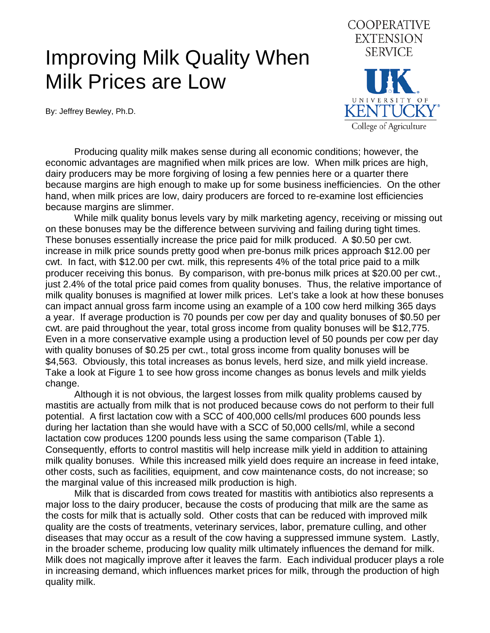## Improving Milk Quality When Milk Prices are Low

By: Jeffrey Bewley, Ph.D.



 Producing quality milk makes sense during all economic conditions; however, the economic advantages are magnified when milk prices are low. When milk prices are high, dairy producers may be more forgiving of losing a few pennies here or a quarter there because margins are high enough to make up for some business inefficiencies. On the other hand, when milk prices are low, dairy producers are forced to re-examine lost efficiencies because margins are slimmer.

 While milk quality bonus levels vary by milk marketing agency, receiving or missing out on these bonuses may be the difference between surviving and failing during tight times. These bonuses essentially increase the price paid for milk produced. A \$0.50 per cwt. increase in milk price sounds pretty good when pre-bonus milk prices approach \$12.00 per cwt. In fact, with \$12.00 per cwt. milk, this represents 4% of the total price paid to a milk producer receiving this bonus. By comparison, with pre-bonus milk prices at \$20.00 per cwt., just 2.4% of the total price paid comes from quality bonuses. Thus, the relative importance of milk quality bonuses is magnified at lower milk prices. Let's take a look at how these bonuses can impact annual gross farm income using an example of a 100 cow herd milking 365 days a year. If average production is 70 pounds per cow per day and quality bonuses of \$0.50 per cwt. are paid throughout the year, total gross income from quality bonuses will be \$12,775. Even in a more conservative example using a production level of 50 pounds per cow per day with quality bonuses of \$0.25 per cwt., total gross income from quality bonuses will be \$4,563. Obviously, this total increases as bonus levels, herd size, and milk yield increase. Take a look at Figure 1 to see how gross income changes as bonus levels and milk yields change.

 Although it is not obvious, the largest losses from milk quality problems caused by mastitis are actually from milk that is not produced because cows do not perform to their full potential. A first lactation cow with a SCC of 400,000 cells/ml produces 600 pounds less during her lactation than she would have with a SCC of 50,000 cells/ml, while a second lactation cow produces 1200 pounds less using the same comparison (Table 1). Consequently, efforts to control mastitis will help increase milk yield in addition to attaining milk quality bonuses. While this increased milk yield does require an increase in feed intake, other costs, such as facilities, equipment, and cow maintenance costs, do not increase; so the marginal value of this increased milk production is high.

 Milk that is discarded from cows treated for mastitis with antibiotics also represents a major loss to the dairy producer, because the costs of producing that milk are the same as the costs for milk that is actually sold. Other costs that can be reduced with improved milk quality are the costs of treatments, veterinary services, labor, premature culling, and other diseases that may occur as a result of the cow having a suppressed immune system. Lastly, in the broader scheme, producing low quality milk ultimately influences the demand for milk. Milk does not magically improve after it leaves the farm. Each individual producer plays a role in increasing demand, which influences market prices for milk, through the production of high quality milk.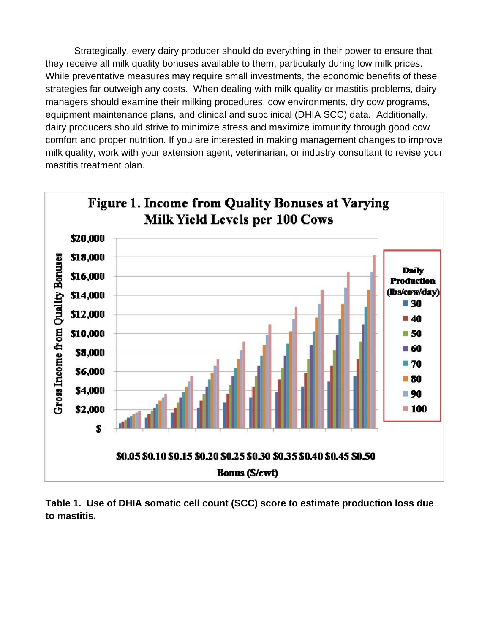Strategically, every dairy producer should do everything in their power to ensure that they receive all milk quality bonuses available to them, particularly during low milk prices. While preventative measures may require small investments, the economic benefits of these strategies far outweigh any costs. When dealing with milk quality or mastitis problems, dairy managers should examine their milking procedures, cow environments, dry cow programs, equipment maintenance plans, and clinical and subclinical (DHIA SCC) data. Additionally, dairy producers should strive to minimize stress and maximize immunity through good cow comfort and proper nutrition. If you are interested in making management changes to improve milk quality, work with your extension agent, veterinarian, or industry consultant to revise your mastitis treatment plan.



**Table 1. Use of DHIA somatic cell count (SCC) score to estimate production loss due to mastitis.**